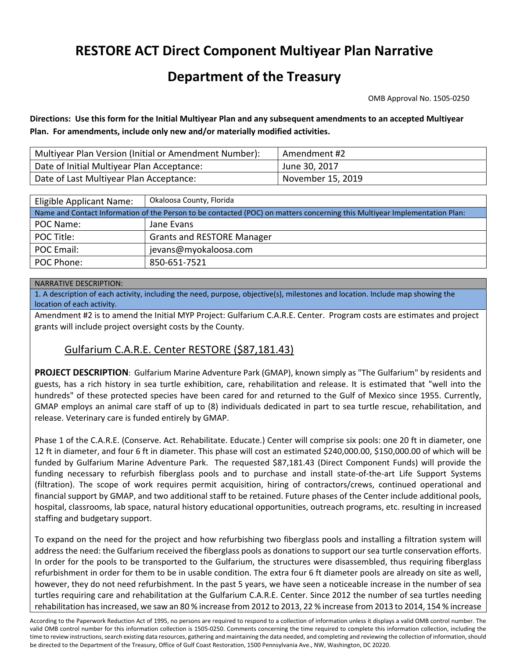## **RESTORE ACT Direct Component Multiyear Plan Narrative**

## **Department of the Treasury**

OMB Approval No. 1505‐0250

**Directions: Use this form for the Initial Multiyear Plan and any subsequent amendments to an accepted Multiyear Plan. For amendments, include only new and/or materially modified activities.**

| Multiyear Plan Version (Initial or Amendment Number): | Amendment #2      |
|-------------------------------------------------------|-------------------|
| Date of Initial Multiyear Plan Acceptance:            | June 30, 2017     |
| Date of Last Multiyear Plan Acceptance:               | November 15, 2019 |

| Eligible Applicant Name:                                                                                                   | Okaloosa County, Florida          |  |  |  |  |
|----------------------------------------------------------------------------------------------------------------------------|-----------------------------------|--|--|--|--|
| Name and Contact Information of the Person to be contacted (POC) on matters concerning this Multiyear Implementation Plan: |                                   |  |  |  |  |
| POC Name:                                                                                                                  | Jane Evans                        |  |  |  |  |
| POC Title:                                                                                                                 | <b>Grants and RESTORE Manager</b> |  |  |  |  |
| POC Email:                                                                                                                 | jevans@myokaloosa.com             |  |  |  |  |
| POC Phone:                                                                                                                 | 850-651-7521                      |  |  |  |  |

## NARRATIVE DESCRIPTION:

1. A description of each activity, including the need, purpose, objective(s), milestones and location. Include map showing the location of each activity.

Amendment #2 is to amend the Initial MYP Project: Gulfarium C.A.R.E. Center. Program costs are estimates and project grants will include project oversight costs by the County.

## Gulfarium C.A.R.E. Center RESTORE (\$87,181.43)

**PROJECT DESCRIPTION**: Gulfarium Marine Adventure Park (GMAP), known simply as "The Gulfarium" by residents and guests, has a rich history in sea turtle exhibition, care, rehabilitation and release. It is estimated that "well into the hundreds" of these protected species have been cared for and returned to the Gulf of Mexico since 1955. Currently, GMAP employs an animal care staff of up to (8) individuals dedicated in part to sea turtle rescue, rehabilitation, and release. Veterinary care is funded entirely by GMAP.

Phase 1 of the C.A.R.E. (Conserve. Act. Rehabilitate. Educate.) Center will comprise six pools: one 20 ft in diameter, one 12 ft in diameter, and four 6 ft in diameter. This phase will cost an estimated \$240,000.00, \$150,000.00 of which will be funded by Gulfarium Marine Adventure Park. The requested \$87,181.43 (Direct Component Funds) will provide the funding necessary to refurbish fiberglass pools and to purchase and install state-of-the-art Life Support Systems (filtration). The scope of work requires permit acquisition, hiring of contractors/crews, continued operational and financial support by GMAP, and two additional staff to be retained. Future phases of the Center include additional pools, hospital, classrooms, lab space, natural history educational opportunities, outreach programs, etc. resulting in increased staffing and budgetary support.

To expand on the need for the project and how refurbishing two fiberglass pools and installing a filtration system will address the need: the Gulfarium received the fiberglass pools as donations to support our sea turtle conservation efforts. In order for the pools to be transported to the Gulfarium, the structures were disassembled, thus requiring fiberglass refurbishment in order for them to be in usable condition. The extra four 6 ft diameter pools are already on site as well, however, they do not need refurbishment. In the past 5 years, we have seen a noticeable increase in the number of sea turtles requiring care and rehabilitation at the Gulfarium C.A.R.E. Center. Since 2012 the number of sea turtles needing rehabilitation has increased, we saw an 80 % increase from 2012 to 2013, 22 % increase from 2013 to 2014, 154 % increase

According to the Paperwork Reduction Act of 1995, no persons are required to respond to a collection of information unless it displays a valid OMB control number. The valid OMB control number for this information collection is 1505‐0250. Comments concerning the time required to complete this information collection, including the time to review instructions, search existing data resources, gathering and maintaining the data needed, and completing and reviewing the collection of information, should be directed to the Department of the Treasury, Office of Gulf Coast Restoration, 1500 Pennsylvania Ave., NW, Washington, DC 20220.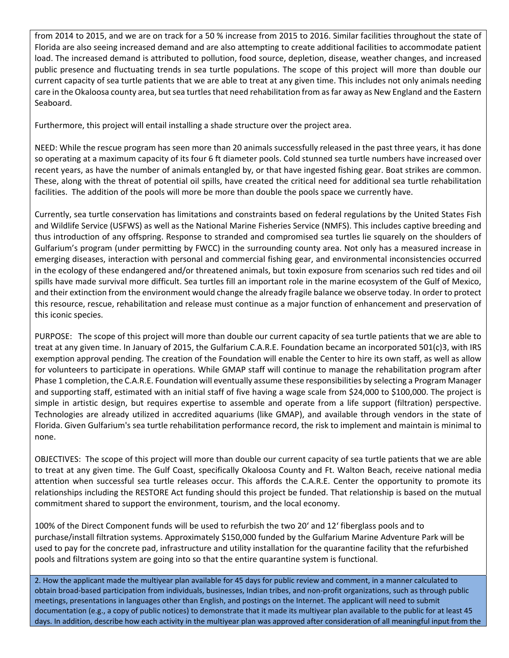from 2014 to 2015, and we are on track for a 50 % increase from 2015 to 2016. Similar facilities throughout the state of Florida are also seeing increased demand and are also attempting to create additional facilities to accommodate patient load. The increased demand is attributed to pollution, food source, depletion, disease, weather changes, and increased public presence and fluctuating trends in sea turtle populations. The scope of this project will more than double our current capacity of sea turtle patients that we are able to treat at any given time. This includes not only animals needing care in the Okaloosa county area, but sea turtles that need rehabilitation from as far away as New England and the Eastern Seaboard.

Furthermore, this project will entail installing a shade structure over the project area.

NEED: While the rescue program has seen more than 20 animals successfully released in the past three years, it has done so operating at a maximum capacity of its four 6 ft diameter pools. Cold stunned sea turtle numbers have increased over recent years, as have the number of animals entangled by, or that have ingested fishing gear. Boat strikes are common. These, along with the threat of potential oil spills, have created the critical need for additional sea turtle rehabilitation facilities. The addition of the pools will more be more than double the pools space we currently have.

Currently, sea turtle conservation has limitations and constraints based on federal regulations by the United States Fish and Wildlife Service (USFWS) as well as the National Marine Fisheries Service (NMFS). This includes captive breeding and thus introduction of any offspring. Response to stranded and compromised sea turtles lie squarely on the shoulders of Gulfarium's program (under permitting by FWCC) in the surrounding county area. Not only has a measured increase in emerging diseases, interaction with personal and commercial fishing gear, and environmental inconsistencies occurred in the ecology of these endangered and/or threatened animals, but toxin exposure from scenarios such red tides and oil spills have made survival more difficult. Sea turtles fill an important role in the marine ecosystem of the Gulf of Mexico, and their extinction from the environment would change the already fragile balance we observe today. In order to protect this resource, rescue, rehabilitation and release must continue as a major function of enhancement and preservation of this iconic species.

PURPOSE: The scope of this project will more than double our current capacity of sea turtle patients that we are able to treat at any given time. In January of 2015, the Gulfarium C.A.R.E. Foundation became an incorporated 501(c)3, with IRS exemption approval pending. The creation of the Foundation will enable the Center to hire its own staff, as well as allow for volunteers to participate in operations. While GMAP staff will continue to manage the rehabilitation program after Phase 1 completion, the C.A.R.E. Foundation will eventually assume these responsibilities by selecting a Program Manager and supporting staff, estimated with an initial staff of five having a wage scale from \$24,000 to \$100,000. The project is simple in artistic design, but requires expertise to assemble and operate from a life support (filtration) perspective. Technologies are already utilized in accredited aquariums (like GMAP), and available through vendors in the state of Florida. Given Gulfarium's sea turtle rehabilitation performance record, the risk to implement and maintain is minimal to none.

OBJECTIVES: The scope of this project will more than double our current capacity of sea turtle patients that we are able to treat at any given time. The Gulf Coast, specifically Okaloosa County and Ft. Walton Beach, receive national media attention when successful sea turtle releases occur. This affords the C.A.R.E. Center the opportunity to promote its relationships including the RESTORE Act funding should this project be funded. That relationship is based on the mutual commitment shared to support the environment, tourism, and the local economy.

100% of the Direct Component funds will be used to refurbish the two 20' and 12' fiberglass pools and to purchase/install filtration systems. Approximately \$150,000 funded by the Gulfarium Marine Adventure Park will be used to pay for the concrete pad, infrastructure and utility installation for the quarantine facility that the refurbished pools and filtrations system are going into so that the entire quarantine system is functional.

2. How the applicant made the multiyear plan available for 45 days for public review and comment, in a manner calculated to obtain broad‐based participation from individuals, businesses, Indian tribes, and non‐profit organizations, such as through public meetings, presentations in languages other than English, and postings on the Internet. The applicant will need to submit documentation (e.g., a copy of public notices) to demonstrate that it made its multiyear plan available to the public for at least 45 days. In addition, describe how each activity in the multiyear plan was approved after consideration of all meaningful input from the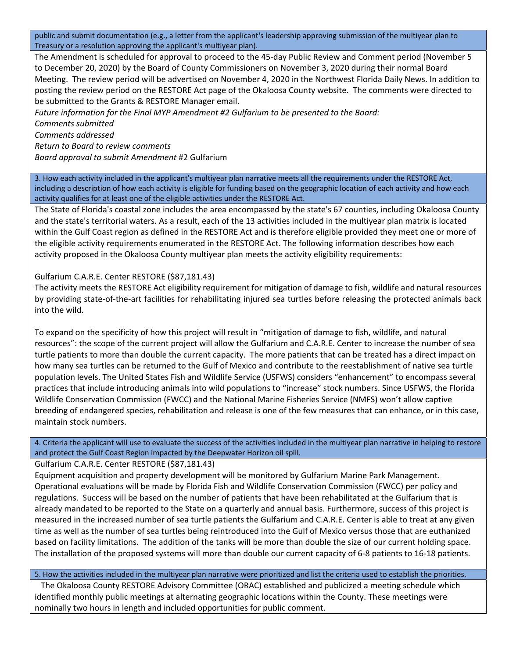public and submit documentation (e.g., a letter from the applicant's leadership approving submission of the multiyear plan to Treasury or a resolution approving the applicant's multiyear plan).

The Amendment is scheduled for approval to proceed to the 45‐day Public Review and Comment period (November 5 to December 20, 2020) by the Board of County Commissioners on November 3, 2020 during their normal Board Meeting. The review period will be advertised on November 4, 2020 in the Northwest Florida Daily News. In addition to posting the review period on the RESTORE Act page of the Okaloosa County website. The comments were directed to be submitted to the Grants & RESTORE Manager email.

*Future information for the Final MYP Amendment #2 Gulfarium to be presented to the Board: Comments submitted Comments addressed Return to Board to review comments* 

*Board approval to submit Amendment* #2 Gulfarium

3. How each activity included in the applicant's multiyear plan narrative meets all the requirements under the RESTORE Act, including a description of how each activity is eligible for funding based on the geographic location of each activity and how each activity qualifies for at least one of the eligible activities under the RESTORE Act.

The State of Florida's coastal zone includes the area encompassed by the state's 67 counties, including Okaloosa County and the state's territorial waters. As a result, each of the 13 activities included in the multiyear plan matrix is located within the Gulf Coast region as defined in the RESTORE Act and is therefore eligible provided they meet one or more of the eligible activity requirements enumerated in the RESTORE Act. The following information describes how each activity proposed in the Okaloosa County multiyear plan meets the activity eligibility requirements:

Gulfarium C.A.R.E. Center RESTORE (\$87,181.43)

The activity meets the RESTORE Act eligibility requirement for mitigation of damage to fish, wildlife and natural resources by providing state‐of‐the‐art facilities for rehabilitating injured sea turtles before releasing the protected animals back into the wild.

To expand on the specificity of how this project will result in "mitigation of damage to fish, wildlife, and natural resources": the scope of the current project will allow the Gulfarium and C.A.R.E. Center to increase the number of sea turtle patients to more than double the current capacity. The more patients that can be treated has a direct impact on how many sea turtles can be returned to the Gulf of Mexico and contribute to the reestablishment of native sea turtle population levels. The United States Fish and Wildlife Service (USFWS) considers "enhancement" to encompass several practices that include introducing animals into wild populations to "increase" stock numbers. Since USFWS, the Florida Wildlife Conservation Commission (FWCC) and the National Marine Fisheries Service (NMFS) won't allow captive breeding of endangered species, rehabilitation and release is one of the few measures that can enhance, or in this case, maintain stock numbers.

4. Criteria the applicant will use to evaluate the success of the activities included in the multiyear plan narrative in helping to restore and protect the Gulf Coast Region impacted by the Deepwater Horizon oil spill.

Gulfarium C.A.R.E. Center RESTORE (\$87,181.43)

Equipment acquisition and property development will be monitored by Gulfarium Marine Park Management. Operational evaluations will be made by Florida Fish and Wildlife Conservation Commission (FWCC) per policy and regulations. Success will be based on the number of patients that have been rehabilitated at the Gulfarium that is already mandated to be reported to the State on a quarterly and annual basis. Furthermore, success of this project is measured in the increased number of sea turtle patients the Gulfarium and C.A.R.E. Center is able to treat at any given time as well as the number of sea turtles being reintroduced into the Gulf of Mexico versus those that are euthanized based on facility limitations. The addition of the tanks will be more than double the size of our current holding space. The installation of the proposed systems will more than double our current capacity of 6‐8 patients to 16‐18 patients.

5. How the activities included in the multiyear plan narrative were prioritized and list the criteria used to establish the priorities.

 The Okaloosa County RESTORE Advisory Committee (ORAC) established and publicized a meeting schedule which identified monthly public meetings at alternating geographic locations within the County. These meetings were nominally two hours in length and included opportunities for public comment.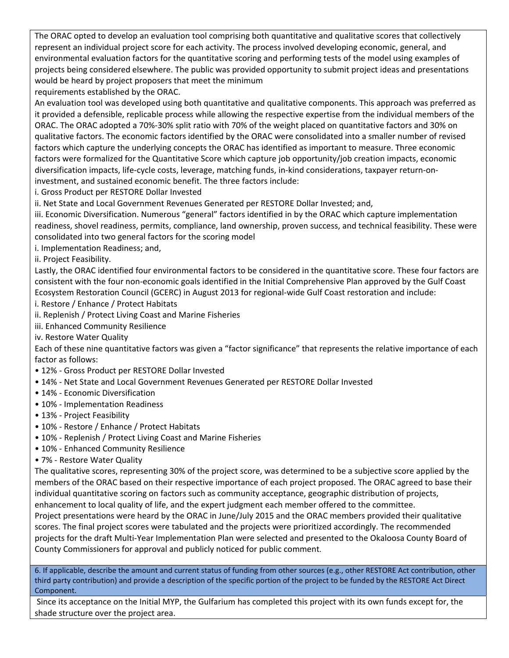The ORAC opted to develop an evaluation tool comprising both quantitative and qualitative scores that collectively represent an individual project score for each activity. The process involved developing economic, general, and environmental evaluation factors for the quantitative scoring and performing tests of the model using examples of projects being considered elsewhere. The public was provided opportunity to submit project ideas and presentations would be heard by project proposers that meet the minimum

requirements established by the ORAC.

An evaluation tool was developed using both quantitative and qualitative components. This approach was preferred as it provided a defensible, replicable process while allowing the respective expertise from the individual members of the ORAC. The ORAC adopted a 70%‐30% split ratio with 70% of the weight placed on quantitative factors and 30% on qualitative factors. The economic factors identified by the ORAC were consolidated into a smaller number of revised factors which capture the underlying concepts the ORAC has identified as important to measure. Three economic factors were formalized for the Quantitative Score which capture job opportunity/job creation impacts, economic diversification impacts, life-cycle costs, leverage, matching funds, in-kind considerations, taxpayer return-oninvestment, and sustained economic benefit. The three factors include:

i. Gross Product per RESTORE Dollar Invested

ii. Net State and Local Government Revenues Generated per RESTORE Dollar Invested; and,

iii. Economic Diversification. Numerous "general" factors identified in by the ORAC which capture implementation readiness, shovel readiness, permits, compliance, land ownership, proven success, and technical feasibility. These were consolidated into two general factors for the scoring model

i. Implementation Readiness; and,

ii. Project Feasibility.

Lastly, the ORAC identified four environmental factors to be considered in the quantitative score. These four factors are consistent with the four non‐economic goals identified in the Initial Comprehensive Plan approved by the Gulf Coast Ecosystem Restoration Council (GCERC) in August 2013 for regional‐wide Gulf Coast restoration and include:

i. Restore / Enhance / Protect Habitats

ii. Replenish / Protect Living Coast and Marine Fisheries

iii. Enhanced Community Resilience

iv. Restore Water Quality

Each of these nine quantitative factors was given a "factor significance" that represents the relative importance of each factor as follows:

- 12% ‐ Gross Product per RESTORE Dollar Invested
- 14% ‐ Net State and Local Government Revenues Generated per RESTORE Dollar Invested
- 14% ‐ Economic Diversification
- 10% ‐ Implementation Readiness
- 13% ‐ Project Feasibility
- 10% ‐ Restore / Enhance / Protect Habitats
- 10% Replenish / Protect Living Coast and Marine Fisheries
- 10% ‐ Enhanced Community Resilience
- 7% ‐ Restore Water Quality

The qualitative scores, representing 30% of the project score, was determined to be a subjective score applied by the members of the ORAC based on their respective importance of each project proposed. The ORAC agreed to base their individual quantitative scoring on factors such as community acceptance, geographic distribution of projects, enhancement to local quality of life, and the expert judgment each member offered to the committee. Project presentations were heard by the ORAC in June/July 2015 and the ORAC members provided their qualitative scores. The final project scores were tabulated and the projects were prioritized accordingly. The recommended projects for the draft Multi‐Year Implementation Plan were selected and presented to the Okaloosa County Board of County Commissioners for approval and publicly noticed for public comment.

6. If applicable, describe the amount and current status of funding from other sources (e.g., other RESTORE Act contribution, other third party contribution) and provide a description of the specific portion of the project to be funded by the RESTORE Act Direct Component.

 Since its acceptance on the Initial MYP, the Gulfarium has completed this project with its own funds except for, the shade structure over the project area.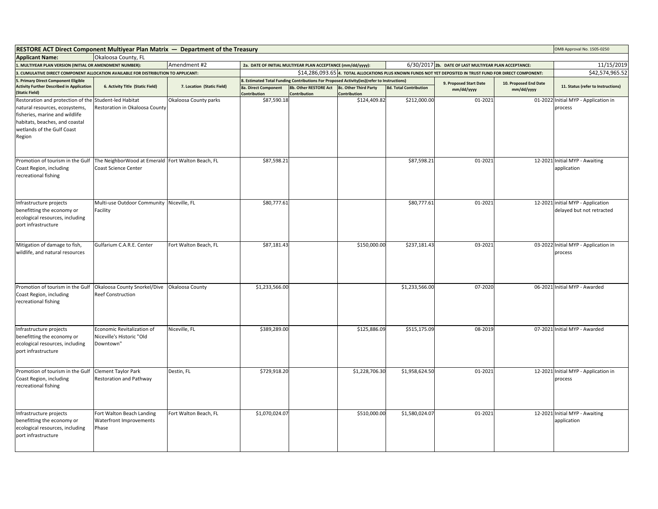| <b>RESTORE ACT Direct Component Multiyear Plan Matrix — Department of the Treasury</b>                                                                                                              |                                                                                   |                            |                                      |                                                                                                                                     |                                       |                               |                                                                                                             |                                     | OMB Approval No. 1505-0250                                     |
|-----------------------------------------------------------------------------------------------------------------------------------------------------------------------------------------------------|-----------------------------------------------------------------------------------|----------------------------|--------------------------------------|-------------------------------------------------------------------------------------------------------------------------------------|---------------------------------------|-------------------------------|-------------------------------------------------------------------------------------------------------------|-------------------------------------|----------------------------------------------------------------|
| <b>Applicant Name:</b>                                                                                                                                                                              | Okaloosa County, FL                                                               |                            |                                      |                                                                                                                                     |                                       |                               |                                                                                                             |                                     |                                                                |
| 1. MULTIYEAR PLAN VERSION (INITIAL OR AMENDMENT NUMBER):                                                                                                                                            |                                                                                   | Amendment #2               |                                      | 2a. DATE OF INITIAL MULTIYEAR PLAN ACCEPTANCE (mm/dd/yyyy):                                                                         |                                       |                               | 6/30/2017 2b. DATE OF LAST MULTIYEAR PLAN ACCEPTANCE:                                                       |                                     | 11/15/2019                                                     |
|                                                                                                                                                                                                     | . CUMULATIVE DIRECT COMPONENT ALLOCATION AVAILABLE FOR DISTRIBUTION TO APPLICANT: |                            |                                      |                                                                                                                                     |                                       |                               | \$14,286,093.65 4. TOTAL ALLOCATIONS PLUS KNOWN FUNDS NOT YET DEPOSITED IN TRUST FUND FOR DIRECT COMPONENT: |                                     | \$42,574,965.52                                                |
| 5. Primary Direct Component Eligible<br><b>Activity Further Described in Application</b><br>(Static Field)                                                                                          | 6. Activity Title (Static Field)                                                  | 7. Location (Static Field) | 8a. Direct Component<br>Contribution | 8. Estimated Total Funding Contributions For Proposed Activity(ies)(refer to Instructions)<br>8b. Other RESTORE Act<br>Contribution | 8c. Other Third Party<br>Contribution | <b>8d. Total Contribution</b> | 9. Proposed Start Date<br>mm/dd/yyyy                                                                        | 10. Proposed End Date<br>mm/dd/yyyy | 11. Status (refer to Instructions)                             |
| Restoration and protection of the Student-led Habitat<br>natural resources, ecosystems,<br>fisheries, marine and wildlife<br>habitats, beaches, and coastal<br>wetlands of the Gulf Coast<br>Region | Restoration in Okaloosa County                                                    | Okaloosa County parks      | \$87,590.18                          |                                                                                                                                     | \$124,409.82                          | \$212,000.00                  | 01-2021                                                                                                     | 01-2022                             | Initial MYP - Application in<br>process                        |
| Promotion of tourism in the Gulf<br>Coast Region, including<br>recreational fishing                                                                                                                 | The NeighborWood at Emerald Fort Walton Beach, FL<br>Coast Science Center         |                            | \$87,598.21                          |                                                                                                                                     |                                       | \$87,598.21                   | 01-2021                                                                                                     |                                     | 12-2021 Initial MYP - Awaiting<br>application                  |
| Infrastructure projects<br>benefitting the economy or<br>ecological resources, including<br>port infrastructure                                                                                     | Multi-use Outdoor Community<br>Facility                                           | Niceville, FL              | \$80,777.61                          |                                                                                                                                     |                                       | \$80,777.61                   | 01-2021                                                                                                     |                                     | 12-2021 initial MYP - Application<br>delayed but not retracted |
| Mitigation of damage to fish,<br>wildlife, and natural resources                                                                                                                                    | Gulfarium C.A.R.E. Center                                                         | Fort Walton Beach, FL      | \$87,181.43                          |                                                                                                                                     | \$150,000.00                          | \$237,181.43                  | 03-2021                                                                                                     |                                     | 03-2022 Initial MYP - Application in<br>process                |
| Promotion of tourism in the Gulf<br>Coast Region, including<br>recreational fishing                                                                                                                 | Okaloosa County Snorkel/Dive<br><b>Reef Construction</b>                          | Okaloosa County            | \$1,233,566.00                       |                                                                                                                                     |                                       | \$1,233,566.00                | 07-2020                                                                                                     |                                     | 06-2021 Initial MYP - Awarded                                  |
| Infrastructure projects<br>benefitting the economy or<br>ecological resources, including<br>port infrastructure                                                                                     | Economic Revitalization of<br>Niceville's Historic "Old<br>Downtown"              | Niceville, FL              | \$389,289.00                         |                                                                                                                                     | \$125,886.09                          | \$515,175.09                  | 08-2019                                                                                                     |                                     | 07-2021 Initial MYP - Awarded                                  |
| Promotion of tourism in the Gulf<br>Coast Region, including<br>recreational fishing                                                                                                                 | <b>Clement Taylor Park</b><br><b>Restoration and Pathway</b>                      | Destin, FL                 | \$729,918.20                         |                                                                                                                                     | \$1,228,706.30                        | \$1,958,624.50                | 01-2021                                                                                                     |                                     | 12-2021 Initial MYP - Application in<br>process                |
| Infrastructure projects<br>benefitting the economy or<br>ecological resources, including<br>port infrastructure                                                                                     | Fort Walton Beach Landing<br>Waterfront Improvements<br>Phase                     | Fort Walton Beach, FL      | \$1,070,024.07                       |                                                                                                                                     | \$510,000.00                          | \$1,580,024.07                | 01-2021                                                                                                     |                                     | 12-2021 Initial MYP - Awaiting<br>application                  |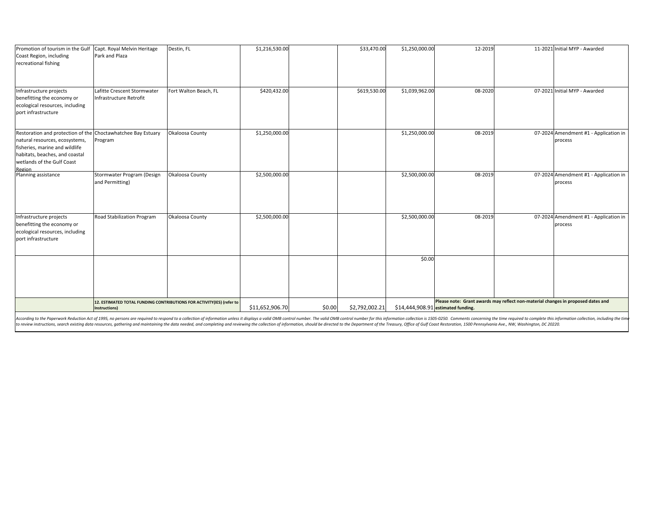| Promotion of tourism in the Gulf Capt. Royal Melvin Heritage                                                                                                                                               |                                                                                        | Destin, FL            | \$1,216,530.00 |        | \$33,470.00    | \$1,250,000.00 | 12-2019                                                                                                                |  | 11-2021 Initial MYP - Awarded                    |
|------------------------------------------------------------------------------------------------------------------------------------------------------------------------------------------------------------|----------------------------------------------------------------------------------------|-----------------------|----------------|--------|----------------|----------------|------------------------------------------------------------------------------------------------------------------------|--|--------------------------------------------------|
| Coast Region, including<br>recreational fishing                                                                                                                                                            | Park and Plaza                                                                         |                       |                |        |                |                |                                                                                                                        |  |                                                  |
|                                                                                                                                                                                                            |                                                                                        |                       |                |        |                |                |                                                                                                                        |  |                                                  |
| Infrastructure projects<br>benefitting the economy or<br>ecological resources, including<br>port infrastructure                                                                                            | Lafitte Crescent Stormwater<br>Infrastructure Retrofit                                 | Fort Walton Beach, FL | \$420,432.00   |        | \$619,530.00   | \$1,039,962.00 | 08-2020                                                                                                                |  | 07-2021 Initial MYP - Awarded                    |
| Restoration and protection of the Choctawhatchee Bay Estuary<br>natural resources, ecosystems,<br>fisheries, marine and wildlife<br>habitats, beaches, and coastal<br>wetlands of the Gulf Coast<br>Region | Program                                                                                | Okaloosa County       | \$1,250,000.00 |        |                | \$1,250,000.00 | 08-2019                                                                                                                |  | 07-2024 Amendment #1 - Application in<br>process |
| Planning assistance                                                                                                                                                                                        | Stormwater Program (Design<br>and Permitting)                                          | Okaloosa County       | \$2,500,000.00 |        |                | \$2,500,000.00 | 08-2019                                                                                                                |  | 07-2024 Amendment #1 - Application in<br>process |
| Infrastructure projects<br>benefitting the economy or<br>ecological resources, including<br>port infrastructure                                                                                            | Road Stabilization Program                                                             | Okaloosa County       | \$2,500,000.00 |        |                | \$2,500,000.00 | 08-2019                                                                                                                |  | 07-2024 Amendment #1 - Application in<br>process |
|                                                                                                                                                                                                            |                                                                                        |                       |                |        |                | \$0.00         |                                                                                                                        |  |                                                  |
|                                                                                                                                                                                                            | 12. ESTIMATED TOTAL FUNDING CONTRIBUTIONS FOR ACTIVITY(IES) (refer to<br>Instructions) |                       |                | \$0.00 | \$2,792,002.21 |                | Please note: Grant awards may reflect non-material changes in proposed dates and<br>\$14,444,908.91 estimated funding. |  |                                                  |

According to the Paperwork Reduction Act of 1995, no persons are required to respond to a collection of information unless it displays a valid OMB control number. The valid OMB control number for this information is 1505-0